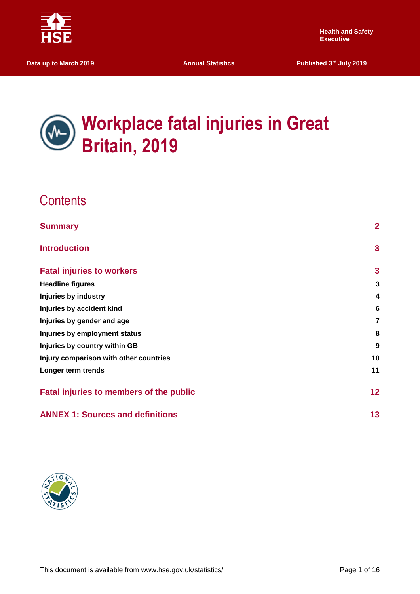

 **Data up to March 2019 Annual Statistics Published 3<sup>rd</sup> July 2019 Annual Statistics Published 3<sup>rd</sup> July 2019** 

# **Workplace fatal injuries in Great Britain, 2019**

### **Contents**

| <b>Summary</b>                          | $\mathbf{2}$    |
|-----------------------------------------|-----------------|
| <b>Introduction</b>                     | $\mathbf{3}$    |
| <b>Fatal injuries to workers</b>        | 3               |
| <b>Headline figures</b>                 | $\mathbf{3}$    |
| Injuries by industry                    | 4               |
| Injuries by accident kind               | 6               |
| Injuries by gender and age              | $\overline{7}$  |
| Injuries by employment status           | 8               |
| Injuries by country within GB           | 9               |
| Injury comparison with other countries  | 10              |
| Longer term trends                      | 11              |
| Fatal injuries to members of the public | 12 <sub>2</sub> |
| <b>ANNEX 1: Sources and definitions</b> | 13              |

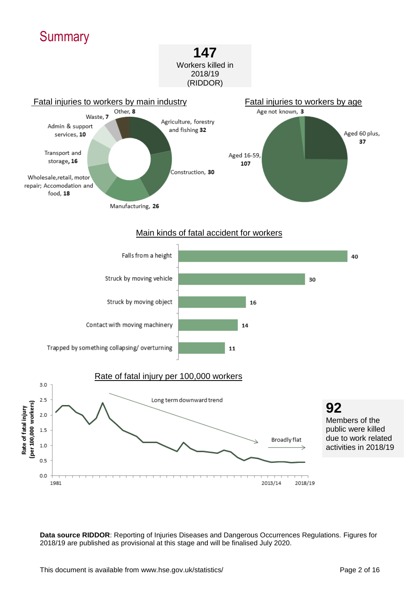<span id="page-1-0"></span>

#### Main kinds of fatal accident for workers



**Data source RIDDOR**: Reporting of Injuries Diseases and Dangerous Occurrences Regulations. Figures for 2018/19 are published as provisional at this stage and will be finalised July 2020.

2013/14

2018/19

 $0.0$ 

1981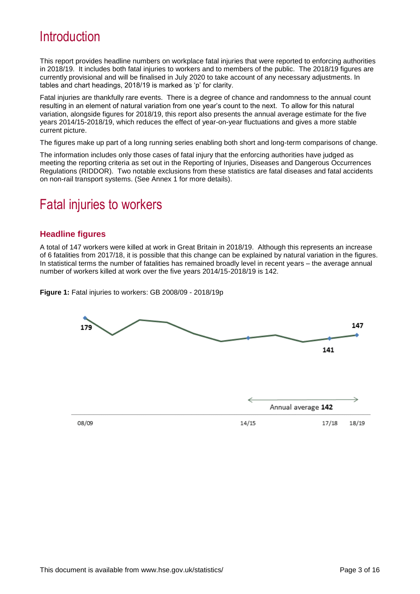### <span id="page-2-0"></span>**Introduction**

This report provides headline numbers on workplace fatal injuries that were reported to enforcing authorities in 2018/19. It includes both fatal injuries to workers and to members of the public. The 2018/19 figures are currently provisional and will be finalised in July 2020 to take account of any necessary adjustments. In tables and chart headings, 2018/19 is marked as 'p' for clarity.

Fatal injuries are thankfully rare events. There is a degree of chance and randomness to the annual count resulting in an element of natural variation from one year's count to the next. To allow for this natural variation, alongside figures for 2018/19, this report also presents the annual average estimate for the five years 2014/15-2018/19, which reduces the effect of year-on-year fluctuations and gives a more stable current picture.

The figures make up part of a long running series enabling both short and long-term comparisons of change.

The information includes only those cases of fatal injury that the enforcing authorities have judged as meeting the reporting criteria as set out in the Reporting of Injuries, Diseases and Dangerous Occurrences Regulations (RIDDOR). Two notable exclusions from these statistics are fatal diseases and fatal accidents on non-rail transport systems. (See Annex 1 for more details).

### <span id="page-2-1"></span>Fatal injuries to workers

#### <span id="page-2-2"></span>**Headline figures**

A total of 147 workers were killed at work in Great Britain in 2018/19. Although this represents an increase of 6 fatalities from 2017/18, it is possible that this change can be explained by natural variation in the figures. In statistical terms the number of fatalities has remained broadly level in recent years – the average annual number of workers killed at work over the five years 2014/15-2018/19 is 142.

**Figure 1:** Fatal injuries to workers: GB 2008/09 - 2018/19p

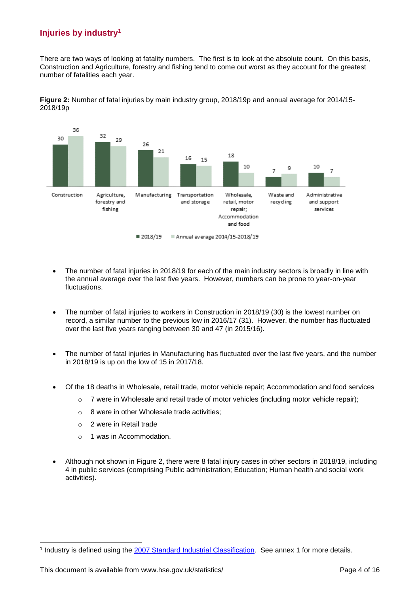### <span id="page-3-0"></span>**Injuries by industry<sup>1</sup>**

There are two ways of looking at fatality numbers. The first is to look at the absolute count. On this basis, Construction and Agriculture, forestry and fishing tend to come out worst as they account for the greatest number of fatalities each year.

**Figure 2:** Number of fatal injuries by main industry group, 2018/19p and annual average for 2014/15- 2018/19p



- The number of fatal injuries in 2018/19 for each of the main industry sectors is broadly in line with the annual average over the last five years. However, numbers can be prone to year-on-year fluctuations.
- The number of fatal injuries to workers in Construction in 2018/19 (30) is the lowest number on record, a similar number to the previous low in 2016/17 (31). However, the number has fluctuated over the last five years ranging between 30 and 47 (in 2015/16).
- The number of fatal injuries in Manufacturing has fluctuated over the last five years, and the number in 2018/19 is up on the low of 15 in 2017/18.
- Of the 18 deaths in Wholesale, retail trade, motor vehicle repair; Accommodation and food services
	- $\circ$  7 were in Wholesale and retail trade of motor vehicles (including motor vehicle repair);
	- o 8 were in other Wholesale trade activities;
	- o 2 were in Retail trade
	- o 1 was in Accommodation.
- Although not shown in Figure 2, there were 8 fatal injury cases in other sectors in 2018/19, including 4 in public services (comprising Public administration; Education; Human health and social work activities).

-

<sup>&</sup>lt;sup>1</sup> Industry is defined using the [2007 Standard Industrial Classification.](https://www.ons.gov.uk/methodology/classificationsandstandards/ukstandardindustrialclassificationofeconomicactivities/uksic2007) See annex 1 for more details.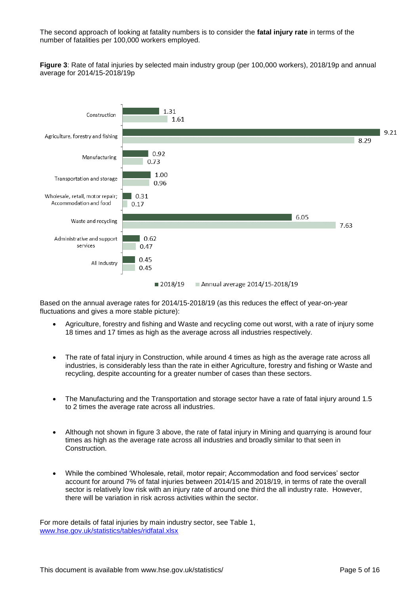The second approach of looking at fatality numbers is to consider the **fatal injury rate** in terms of the number of fatalities per 100,000 workers employed.

**Figure 3**: Rate of fatal injuries by selected main industry group (per 100,000 workers), 2018/19p and annual average for 2014/15-2018/19p



Based on the annual average rates for 2014/15-2018/19 (as this reduces the effect of year-on-year fluctuations and gives a more stable picture):

- Agriculture, forestry and fishing and Waste and recycling come out worst, with a rate of injury some 18 times and 17 times as high as the average across all industries respectively.
- The rate of fatal injury in Construction, while around 4 times as high as the average rate across all industries, is considerably less than the rate in either Agriculture, forestry and fishing or Waste and recycling, despite accounting for a greater number of cases than these sectors.
- The Manufacturing and the Transportation and storage sector have a rate of fatal injury around 1.5 to 2 times the average rate across all industries.
- Although not shown in figure 3 above, the rate of fatal injury in Mining and quarrying is around four times as high as the average rate across all industries and broadly similar to that seen in Construction.
- While the combined 'Wholesale, retail, motor repair; Accommodation and food services' sector account for around 7% of fatal injuries between 2014/15 and 2018/19, in terms of rate the overall sector is relatively low risk with an injury rate of around one third the all industry rate. However, there will be variation in risk across activities within the sector.

<span id="page-4-0"></span>For more details of fatal injuries by main industry sector, see Table 1, [www.hse.gov.uk/statistics/tables/ridfatal.xlsx](http://www.hse.gov.uk/statistics/tables/ridfatal.xlsx)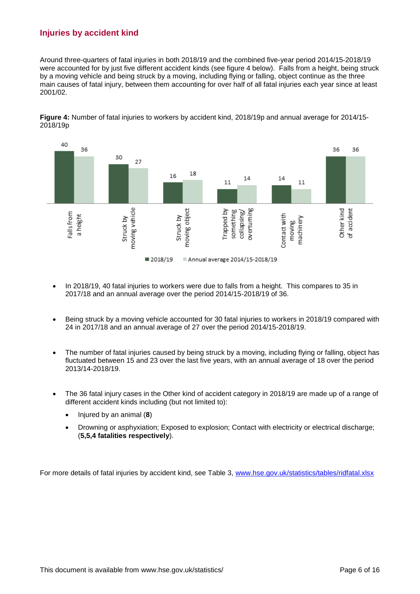#### **Injuries by accident kind**

Around three-quarters of fatal injuries in both 2018/19 and the combined five-year period 2014/15-2018/19 were accounted for by just five different accident kinds (see figure 4 below). Falls from a height, being struck by a moving vehicle and being struck by a moving, including flying or falling, object continue as the three main causes of fatal injury, between them accounting for over half of all fatal injuries each year since at least 2001/02.



**Figure 4:** Number of fatal injuries to workers by accident kind, 2018/19p and annual average for 2014/15- 2018/19p

- In 2018/19, 40 fatal injuries to workers were due to falls from a height. This compares to 35 in 2017/18 and an annual average over the period 2014/15-2018/19 of 36.
- Being struck by a moving vehicle accounted for 30 fatal injuries to workers in 2018/19 compared with 24 in 2017/18 and an annual average of 27 over the period 2014/15-2018/19.
- The number of fatal injuries caused by being struck by a moving, including flying or falling, object has fluctuated between 15 and 23 over the last five years, with an annual average of 18 over the period 2013/14-2018/19.
- The 36 fatal injury cases in the Other kind of accident category in 2018/19 are made up of a range of different accident kinds including (but not limited to):
	- Injured by an animal (**8**)
	- Drowning or asphyxiation; Exposed to explosion; Contact with electricity or electrical discharge; (**5,5,4 fatalities respectively**).

For more details of fatal injuries by accident kind, see Table 3, [www.hse.gov.uk/statistics/tables/ridfatal.xlsx](http://www.hse.gov.uk/statistics/tables/ridfatal.xlsx)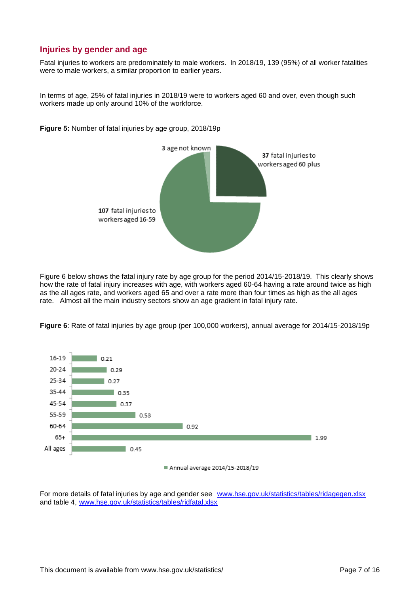#### <span id="page-6-0"></span>**Injuries by gender and age**

Fatal injuries to workers are predominately to male workers. In 2018/19, 139 (95%) of all worker fatalities were to male workers, a similar proportion to earlier years.

In terms of age, 25% of fatal injuries in 2018/19 were to workers aged 60 and over, even though such workers made up only around 10% of the workforce.



**Figure 5:** Number of fatal injuries by age group, 2018/19p

Figure 6 below shows the fatal injury rate by age group for the period 2014/15-2018/19. This clearly shows how the rate of fatal injury increases with age, with workers aged 60-64 having a rate around twice as high as the all ages rate, and workers aged 65 and over a rate more than four times as high as the all ages rate. Almost all the main industry sectors show an age gradient in fatal injury rate.

**Figure 6**: Rate of fatal injuries by age group (per 100,000 workers), annual average for 2014/15-2018/19p



Annual average 2014/15-2018/19

For more details of fatal injuries by age and gender see [www.hse.gov.uk/statistics/tables/ridagegen.xlsx](http://www.hse.gov.uk/statistics/tables/ridagegen.xlsx) and table 4, [www.hse.gov.uk/statistics/tables/ridfatal.xlsx](http://www.hse.gov.uk/statistics/tables/ridfatal.xlsx)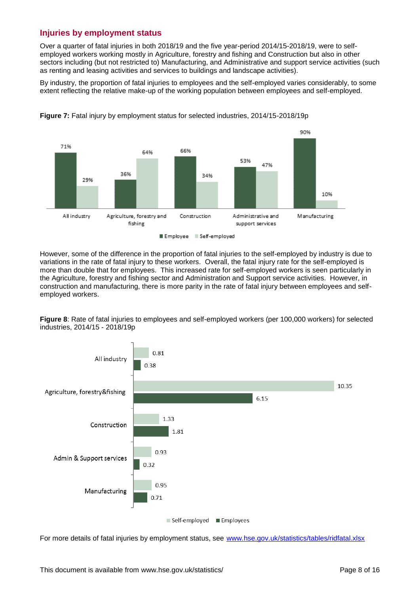#### <span id="page-7-0"></span>**Injuries by employment status**

Over a quarter of fatal injuries in both 2018/19 and the five year-period 2014/15-2018/19, were to selfemployed workers working mostly in Agriculture, forestry and fishing and Construction but also in other sectors including (but not restricted to) Manufacturing, and Administrative and support service activities (such as renting and leasing activities and services to buildings and landscape activities).

By industry, the proportion of fatal injuries to employees and the self-employed varies considerably, to some extent reflecting the relative make-up of the working population between employees and self-employed.



**Figure 7:** Fatal injury by employment status for selected industries, 2014/15-2018/19p



**Figure 8**: Rate of fatal injuries to employees and self-employed workers (per 100,000 workers) for selected industries, 2014/15 - 2018/19p



For more details of fatal injuries by employment status, see [www.hse.gov.uk/statistics/tables/ridfatal.xlsx](http://www.hse.gov.uk/statistics/tables/ridfatal.xlsx)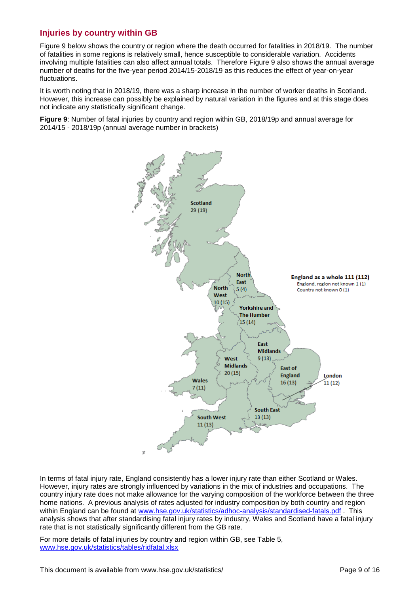#### <span id="page-8-0"></span>**Injuries by country within GB**

Figure 9 below shows the country or region where the death occurred for fatalities in 2018/19. The number of fatalities in some regions is relatively small, hence susceptible to considerable variation. Accidents involving multiple fatalities can also affect annual totals. Therefore Figure 9 also shows the annual average number of deaths for the five-year period 2014/15-2018/19 as this reduces the effect of year-on-year fluctuations.

It is worth noting that in 2018/19, there was a sharp increase in the number of worker deaths in Scotland. However, this increase can possibly be explained by natural variation in the figures and at this stage does not indicate any statistically significant change.

**Figure 9**: Number of fatal injuries by country and region within GB, 2018/19p and annual average for 2014/15 - 2018/19p (annual average number in brackets)



In terms of fatal injury rate, England consistently has a lower injury rate than either Scotland or Wales. However, injury rates are strongly influenced by variations in the mix of industries and occupations. The country injury rate does not make allowance for the varying composition of the workforce between the three home nations. A previous analysis of rates adjusted for industry composition by both country and region within England can be found at [www.hse.gov.uk/statistics/adhoc-analysis/standardised-fatals.pdf](http://www.hse.gov.uk/statistics/adhoc-analysis/standardised-fatals.pdf) . This analysis shows that after standardising fatal injury rates by industry, Wales and Scotland have a fatal injury rate that is not statistically significantly different from the GB rate.

For more details of fatal injuries by country and region within GB, see Table 5, [www.hse.gov.uk/statistics/tables/ridfatal.xlsx](http://www.hse.gov.uk/statistics/tables/ridfatal.xlsx)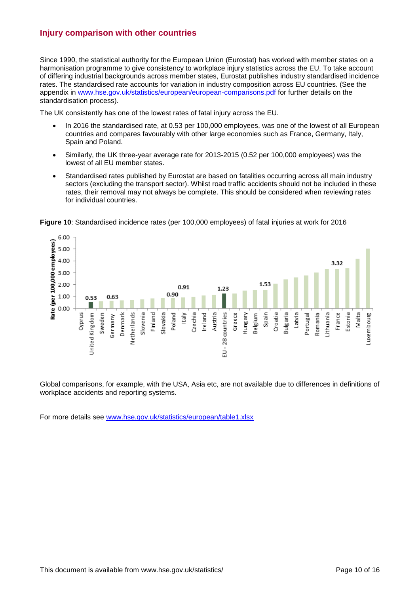#### <span id="page-9-0"></span>**Injury comparison with other countries**

Since 1990, the statistical authority for the European Union (Eurostat) has worked with member states on a harmonisation programme to give consistency to workplace injury statistics across the EU. To take account of differing industrial backgrounds across member states, Eurostat publishes industry standardised incidence rates. The standardised rate accounts for variation in industry composition across EU countries. (See the appendix in [www.hse.gov.uk/statistics/european/european-comparisons.pdf](http://www.hse.gov.uk/statistics/european/european-comparisons.pdf) for further details on the standardisation process).

The UK consistently has one of the lowest rates of fatal injury across the EU.

- In 2016 the standardised rate, at 0.53 per 100,000 employees, was one of the lowest of all European countries and compares favourably with other large economies such as France, Germany, Italy, Spain and Poland.
- Similarly, the UK three-year average rate for 2013-2015 (0.52 per 100,000 employees) was the lowest of all EU member states.
- Standardised rates published by Eurostat are based on fatalities occurring across all main industry sectors (excluding the transport sector). Whilst road traffic accidents should not be included in these rates, their removal may not always be complete. This should be considered when reviewing rates for individual countries.



**Figure 10**: Standardised incidence rates (per 100,000 employees) of fatal injuries at work for 2016

Global comparisons, for example, with the USA, Asia etc, are not available due to differences in definitions of workplace accidents and reporting systems.

For more details see [www.hse.gov.uk/statistics/european/table1.xlsx](http://www.hse.gov.uk/statistics/european/table1.xlsx)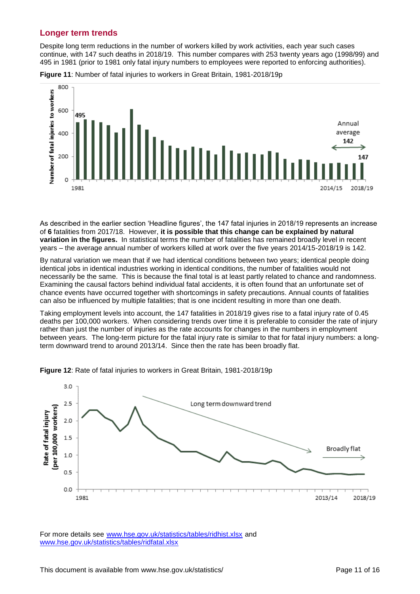#### <span id="page-10-0"></span>**Longer term trends**

Despite long term reductions in the number of workers killed by work activities, each year such cases continue, with 147 such deaths in 2018/19. This number compares with 253 twenty years ago (1998/99) and 495 in 1981 (prior to 1981 only fatal injury numbers to employees were reported to enforcing authorities).



**Figure 11**: Number of fatal injuries to workers in Great Britain, 1981-2018/19p

As described in the earlier section 'Headline figures', the 147 fatal injuries in 2018/19 represents an increase of **6** fatalities from 2017/18. However, **it is possible that this change can be explained by natural variation in the figures.** In statistical terms the number of fatalities has remained broadly level in recent years – the average annual number of workers killed at work over the five years 2014/15-2018/19 is 142.

By natural variation we mean that if we had identical conditions between two years; identical people doing identical jobs in identical industries working in identical conditions, the number of fatalities would not necessarily be the same. This is because the final total is at least partly related to chance and randomness. Examining the causal factors behind individual fatal accidents, it is often found that an unfortunate set of chance events have occurred together with shortcomings in safety precautions. Annual counts of fatalities can also be influenced by multiple fatalities; that is one incident resulting in more than one death.

Taking employment levels into account, the 147 fatalities in 2018/19 gives rise to a fatal injury rate of 0.45 deaths per 100,000 workers. When considering trends over time it is preferable to consider the rate of injury rather than just the number of injuries as the rate accounts for changes in the numbers in employment between years. The long-term picture for the fatal injury rate is similar to that for fatal injury numbers: a longterm downward trend to around 2013/14. Since then the rate has been broadly flat.



**Figure 12**: Rate of fatal injuries to workers in Great Britain, 1981-2018/19p

For more details see [www.hse.gov.uk/statistics/tables/ridhist.xlsx](http://www.hse.gov.uk/statistics/tables/ridhist.xlsx) and [www.hse.gov.uk/statistics/tables/ridfatal.xlsx](http://www.hse.gov.uk/statistics/tables/ridfatal.xlsx)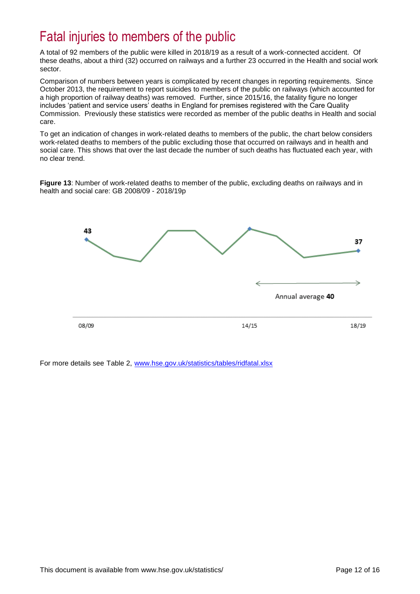### <span id="page-11-0"></span>Fatal injuries to members of the public

A total of 92 members of the public were killed in 2018/19 as a result of a work-connected accident. Of these deaths, about a third (32) occurred on railways and a further 23 occurred in the Health and social work sector.

Comparison of numbers between years is complicated by recent changes in reporting requirements. Since October 2013, the requirement to report suicides to members of the public on railways (which accounted for a high proportion of railway deaths) was removed. Further, since 2015/16, the fatality figure no longer includes 'patient and service users' deaths in England for premises registered with the Care Quality Commission. Previously these statistics were recorded as member of the public deaths in Health and social care.

To get an indication of changes in work-related deaths to members of the public, the chart below considers work-related deaths to members of the public excluding those that occurred on railways and in health and social care. This shows that over the last decade the number of such deaths has fluctuated each year, with no clear trend.

**Figure 13**: Number of work-related deaths to member of the public, excluding deaths on railways and in health and social care: GB 2008/09 - 2018/19p



For more details see Table 2, [www.hse.gov.uk/statistics/tables/ridfatal.xlsx](http://www.hse.gov.uk/statistics/tables/ridfatal.xlsx)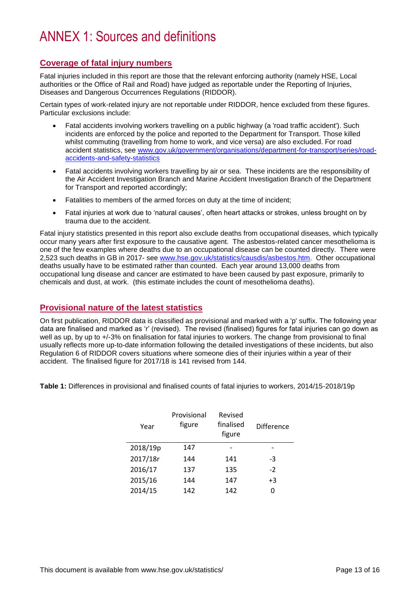## <span id="page-12-0"></span>ANNEX 1: Sources and definitions

#### **Coverage of fatal injury numbers**

Fatal injuries included in this report are those that the relevant enforcing authority (namely HSE, Local authorities or the Office of Rail and Road) have judged as reportable under the Reporting of Injuries, Diseases and Dangerous Occurrences Regulations (RIDDOR).

Certain types of work-related injury are not reportable under RIDDOR, hence excluded from these figures. Particular exclusions include:

- Fatal accidents involving workers travelling on a public highway (a 'road traffic accident'). Such incidents are enforced by the police and reported to the Department for Transport. Those killed whilst commuting (travelling from home to work, and vice versa) are also excluded. For road accident statistics, see [www.gov.uk/government/organisations/department-for-transport/series/road](http://www.gov.uk/government/organisations/department-for-transport/series/road-accidents-and-safety-statistics)[accidents-and-safety-statistics](http://www.gov.uk/government/organisations/department-for-transport/series/road-accidents-and-safety-statistics)
- Fatal accidents involving workers travelling by air or sea. These incidents are the responsibility of the Air Accident Investigation Branch and Marine Accident Investigation Branch of the Department for Transport and reported accordingly;
- Fatalities to members of the armed forces on duty at the time of incident;
- Fatal injuries at work due to 'natural causes', often heart attacks or strokes, unless brought on by trauma due to the accident.

Fatal injury statistics presented in this report also exclude deaths from occupational diseases, which typically occur many years after first exposure to the causative agent. The asbestos-related cancer mesothelioma is one of the few examples where deaths due to an occupational disease can be counted directly. There were 2,523 such deaths in GB in 2017- see [www.hse.gov.uk/statistics/causdis/asbestos.htm.](http://www.hse.gov.uk/statistics/causdis/asbestos.htm) Other occupational deaths usually have to be estimated rather than counted. Each year around 13,000 deaths from occupational lung disease and cancer are estimated to have been caused by past exposure, primarily to chemicals and dust, at work. (this estimate includes the count of mesothelioma deaths).

#### **Provisional nature of the latest statistics**

On first publication, RIDDOR data is classified as provisional and marked with a 'p' suffix. The following year data are finalised and marked as 'r' (revised). The revised (finalised) figures for fatal injuries can go down as well as up, by up to +/-3% on finalisation for fatal injuries to workers. The change from provisional to final usually reflects more up-to-date information following the detailed investigations of these incidents, but also Regulation 6 of RIDDOR covers situations where someone dies of their injuries within a year of their accident. The finalised figure for 2017/18 is 141 revised from 144.

**Table 1:** Differences in provisional and finalised counts of fatal injuries to workers, 2014/15-2018/19p

| Year     | Provisional<br>figure | Revised<br>finalised<br>figure | <b>Difference</b> |
|----------|-----------------------|--------------------------------|-------------------|
| 2018/19p | 147                   |                                |                   |
| 2017/18r | 144                   | 141                            | -3                |
| 2016/17  | 137                   | 135                            | $-2$              |
| 2015/16  | 144                   | 147                            | $+3$              |
| 2014/15  | 142                   | 142                            |                   |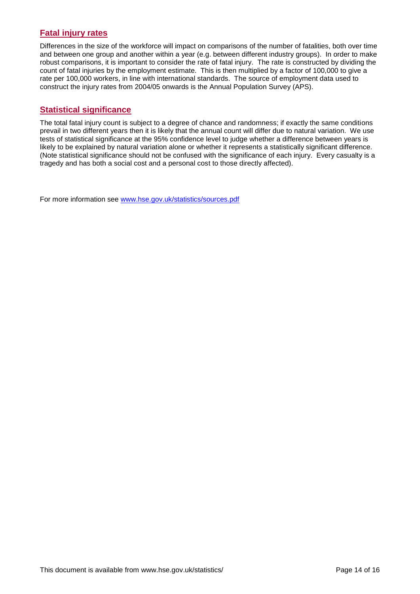#### **Fatal injury rates**

Differences in the size of the workforce will impact on comparisons of the number of fatalities, both over time and between one group and another within a year (e.g. between different industry groups). In order to make robust comparisons, it is important to consider the rate of fatal injury. The rate is constructed by dividing the count of fatal injuries by the employment estimate. This is then multiplied by a factor of 100,000 to give a rate per 100,000 workers, in line with international standards. The source of employment data used to construct the injury rates from 2004/05 onwards is the Annual Population Survey (APS).

#### **Statistical significance**

The total fatal injury count is subject to a degree of chance and randomness; if exactly the same conditions prevail in two different years then it is likely that the annual count will differ due to natural variation. We use tests of statistical significance at the 95% confidence level to judge whether a difference between years is likely to be explained by natural variation alone or whether it represents a statistically significant difference. (Note statistical significance should not be confused with the significance of each injury. Every casualty is a tragedy and has both a social cost and a personal cost to those directly affected).

For more information see [www.hse.gov.uk/statistics/sources.pdf](http://www.hse.gov.uk/statistics/sources.pdf)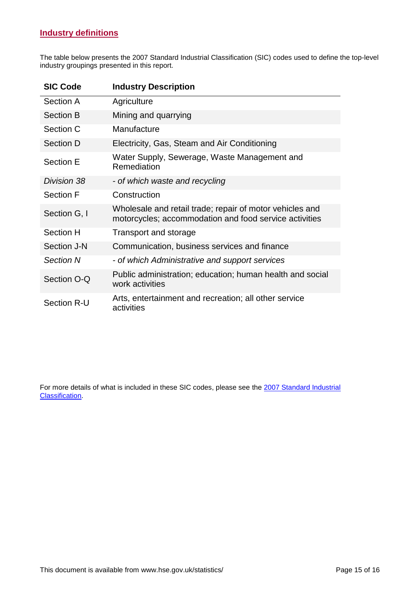### **Industry definitions**

The table below presents the 2007 Standard Industrial Classification (SIC) codes used to define the top-level industry groupings presented in this report.

| <b>SIC Code</b>  | <b>Industry Description</b>                                                                                        |
|------------------|--------------------------------------------------------------------------------------------------------------------|
| Section A        | Agriculture                                                                                                        |
| <b>Section B</b> | Mining and quarrying                                                                                               |
| Section C        | Manufacture                                                                                                        |
| Section D        | Electricity, Gas, Steam and Air Conditioning                                                                       |
| <b>Section E</b> | Water Supply, Sewerage, Waste Management and<br>Remediation                                                        |
| Division 38      | - of which waste and recycling                                                                                     |
| <b>Section F</b> | Construction                                                                                                       |
| Section G, I     | Wholesale and retail trade; repair of motor vehicles and<br>motorcycles; accommodation and food service activities |
| <b>Section H</b> | Transport and storage                                                                                              |
| Section J-N      | Communication, business services and finance                                                                       |
| <b>Section N</b> | - of which Administrative and support services                                                                     |
| Section O-Q      | Public administration; education; human health and social<br>work activities                                       |
| Section R-U      | Arts, entertainment and recreation; all other service<br>activities                                                |

For more details of what is included in these SIC codes, please see the 2007 Standard Industrial [Classification.](https://www.ons.gov.uk/methodology/classificationsandstandards/ukstandardindustrialclassificationofeconomicactivities/uksic2007)